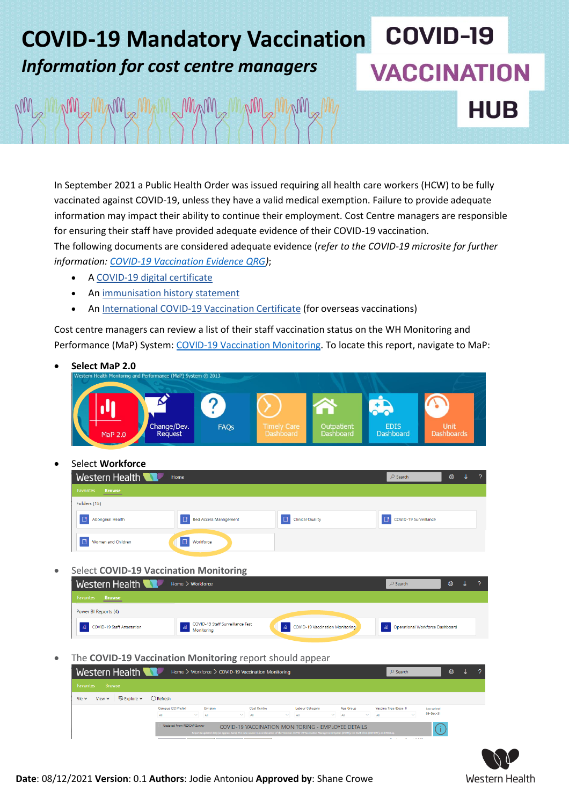# **COVID-19 COVID-19 Mandatory Vaccination** *Information for cost centre managers* **VACCINATION** MAM MAM MAM MAM MAM **HUB**

In September 2021 a Public Health Order was issued requiring all health care workers (HCW) to be fully vaccinated against COVID-19, unless they have a valid medical exemption. Failure to provide adequate information may impact their ability to continue their employment. Cost Centre managers are responsible for ensuring their staff have provided adequate evidence of their COVID-19 vaccination. The following documents are considered adequate evidence (*refer to the COVID-19 microsite for further information: [COVID-19 Vaccination Evidence QRG\)](https://coronavirus.wh.org.au/wp-content/uploads/2021/11/QRG-COVID-19-Vaccination-Evidence-KC.pdf)*;

- A COVID-19 digital [certificate](https://www.servicesaustralia.gov.au/individuals/subjects/covid-19-digital-certificate-proof-your-covid-19-vaccinations)
- An [immunisation](https://www.servicesaustralia.gov.au/individuals/subjects/immunisation-history-statement-proof-your-covid-19-vaccinations) history statement
- An [International](https://www.servicesaustralia.gov.au/individuals/subjects/international-covid-19-vaccination-certificate-proof-your-covid-19-vaccinations) COVID-19 Vaccination Certificate (for overseas vaccinations)

Cost centre managers can review a list of their staff vaccination status on the WH Monitoring and Performance (MaP) System: [COVID-19 Vaccination Monitoring.](http://whspowerbi.ssg.org.au/reports/powerbi/Workforce/COVID-19%20Vaccination%20Monitoring) To locate this report, navigate to MaP:

 **Select MaP 2.0** mance (MaP) System © 201 hange/Dev EDIS<br>Dashboard FAQs Unit Outpatient<br>Dashboard **Dashboards** Request Select **Workforce**

| Western Health                    | Home                         |                         | $\circ$ Search        | త | $\mathcal{P}$ |
|-----------------------------------|------------------------------|-------------------------|-----------------------|---|---------------|
| <b>Favorites</b><br><b>Browse</b> |                              |                         |                       |   |               |
| Folders (15)                      |                              |                         |                       |   |               |
| <b>Aboriginal Health</b>          | <b>Bed Access Management</b> | <b>Clinical Quality</b> | COVID-19 Surveillance |   |               |
| Women and Children                | Workforce<br>╶┖              |                         |                       |   |               |

Select **COVID-19 Vaccination Monitoring**

| Western Health<br>Home $\geq$ Workforce | $\circ$ Search                                          | ଊ                               |                                   |  |  |
|-----------------------------------------|---------------------------------------------------------|---------------------------------|-----------------------------------|--|--|
| <b>Favorites</b><br><b>Browse</b>       |                                                         |                                 |                                   |  |  |
| Power BI Reports (4)                    |                                                         |                                 |                                   |  |  |
| <b>COVID-19 Staff Attestation</b>       | <b>A</b> COVID-19 Staff Surveillance Test<br>Monitoring | COVID-19 Vaccination Monitoring | A Operational Workforce Dashboard |  |  |

The **COVID-19 Vaccination Monitoring** report should appear

| Western Health                                                        | Home > Workforce > COVID-19 Vaccination Monitoring |                                                                                                                                                                                   |                                                                  |                                                    |                     | $O$ Search            | త్ర          |  |
|-----------------------------------------------------------------------|----------------------------------------------------|-----------------------------------------------------------------------------------------------------------------------------------------------------------------------------------|------------------------------------------------------------------|----------------------------------------------------|---------------------|-----------------------|--------------|--|
| <b>Favorites</b><br><b>Browse</b>                                     |                                                    |                                                                                                                                                                                   |                                                                  |                                                    |                     |                       |              |  |
| $\bigotimes$ Explore $\bigtriangledown$<br>File $\vee$<br>View $\sim$ | C Refresh                                          |                                                                                                                                                                                   |                                                                  |                                                    |                     |                       |              |  |
|                                                                       | Campus (CC Prefix)<br><b>Division</b>              |                                                                                                                                                                                   | <b>Cost Centre</b><br><b>Labour Category</b><br><b>Age Group</b> |                                                    |                     | Vaccine Type (Dose 1) | Last updated |  |
|                                                                       | $\checkmark$<br>All                                | $\checkmark$<br>All                                                                                                                                                               | $\sim$<br>All                                                    | $\checkmark$<br>All                                | $\checkmark$<br>All | $\sim$<br>All         | 08-Dec-21    |  |
|                                                                       | Updated From REDCAP Survey                         | Report is updated daily (at approx. 6am). The data source is a combination of the Victorian COVID-19 Vaccination Management System (CVMS), the Staff Clinic (COHORT), and REDCap. |                                                                  | COVID-19 VACCINATION MONITORING - EMPLOYEE DETAILS |                     |                       |              |  |